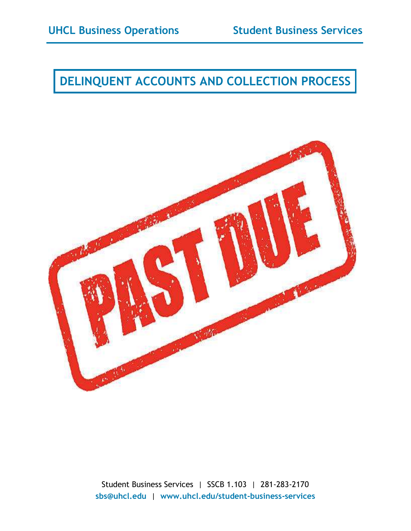## **DELINQUENT ACCOUNTS AND COLLECTION PROCESS**